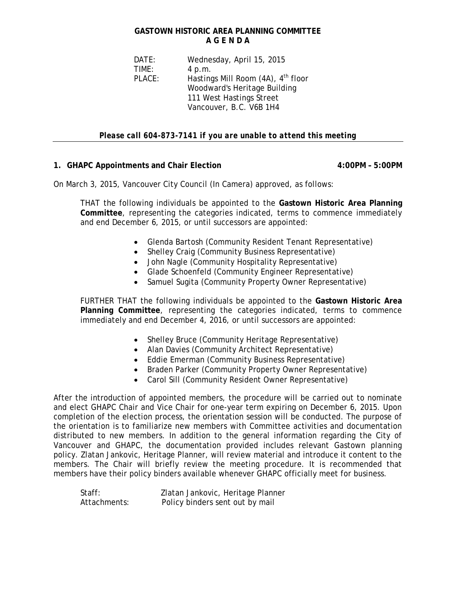## **GASTOWN HISTORIC AREA PLANNING COMMITTEE A G E N D A**

 DATE: Wednesday, April 15, 2015 TIME: 4 p.m. PLACE: Hastings Mill Room (4A), 4<sup>th</sup> floor Woodward's Heritage Building 111 West Hastings Street Vancouver, B.C. V6B 1H4

*Please call 604-873-7141 if you are unable to attend this meeting* 

## **1. GHAPC Appointments and Chair Election 4:00PM – 5:00PM**

On March 3, 2015, Vancouver City Council (In Camera) approved, as follows:

THAT the following individuals be appointed to the **Gastown Historic Area Planning Committee**, representing the categories indicated, terms to commence immediately and end December 6, 2015, or until successors are appointed:

- Glenda Bartosh (Community Resident Tenant Representative)
- Shelley Craig (Community Business Representative)
- John Nagle (Community Hospitality Representative)
- Glade Schoenfeld (Community Engineer Representative)
- Samuel Sugita (Community Property Owner Representative)

FURTHER THAT the following individuals be appointed to the **Gastown Historic Area Planning Committee**, representing the categories indicated, terms to commence immediately and end December 4, 2016, or until successors are appointed:

- Shelley Bruce (Community Heritage Representative)
- Alan Davies (Community Architect Representative)
- Eddie Emerman (Community Business Representative)
- Braden Parker (Community Property Owner Representative)
- Carol Sill (Community Resident Owner Representative)

After the introduction of appointed members, the procedure will be carried out to nominate and elect GHAPC Chair and Vice Chair for one-year term expiring on December 6, 2015. Upon completion of the election process, the orientation session will be conducted. The purpose of the orientation is to familiarize new members with Committee activities and documentation distributed to new members. In addition to the general information regarding the City of Vancouver and GHAPC, the documentation provided includes relevant Gastown planning policy. Zlatan Jankovic, Heritage Planner, will review material and introduce it content to the members. The Chair will briefly review the meeting procedure. It is recommended that members have their policy binders available whenever GHAPC officially meet for business.

| Staff:       | Zlatan Jankovic, Heritage Planner |
|--------------|-----------------------------------|
| Attachments: | Policy binders sent out by mail   |